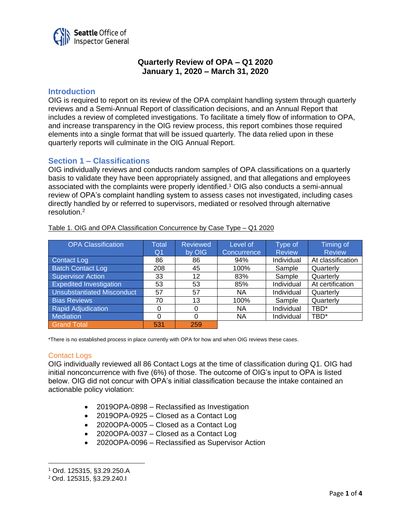

# **Quarterly Review of OPA – Q1 2020 January 1, 2020 – March 31, 2020**

# **Introduction**

OIG is required to report on its review of the OPA complaint handling system through quarterly reviews and a Semi-Annual Report of classification decisions, and an Annual Report that includes a review of completed investigations. To facilitate a timely flow of information to OPA, and increase transparency in the OIG review process, this report combines those required elements into a single format that will be issued quarterly. The data relied upon in these quarterly reports will culminate in the OIG Annual Report.

# **Section 1 – Classifications**

OIG individually reviews and conducts random samples of OPA classifications on a quarterly basis to validate they have been appropriately assigned, and that allegations and employees associated with the complaints were properly identified.<sup>1</sup> OIG also conducts a semi-annual review of OPA's complaint handling system to assess cases not investigated, including cases directly handled by or referred to supervisors, mediated or resolved through alternative resolution.<sup>2</sup>

| <b>OPA Classification</b>         | <b>Total</b><br>Q <sub>1</sub> | <b>Reviewed</b><br>by OIG | Level of<br>Concurrence | Type of<br><b>Review</b> | <b>Timing of</b><br><b>Review</b> |
|-----------------------------------|--------------------------------|---------------------------|-------------------------|--------------------------|-----------------------------------|
| Contact Log                       | 86                             | 86                        | 94%                     | Individual               | At classification                 |
| <b>Batch Contact Log</b>          | 208                            | 45                        | 100%                    | Sample                   | Quarterly                         |
| Supervisor Action                 | 33                             | 12                        | 83%                     | Sample                   | Quarterly                         |
| <b>Expedited Investigation</b>    | 53                             | 53                        | 85%                     | Individual               | At certification                  |
| <b>Unsubstantiated Misconduct</b> | 57                             | 57                        | ΝA                      | Individual               | Quarterly                         |
| <b>Bias Reviews</b>               | 70                             | 13                        | 100%                    | Sample                   | Quarterly                         |
| <b>Rapid Adjudication</b>         | 0                              |                           | ΝA                      | Individual               | TBD*                              |
| Mediation                         | 0                              | 0                         | ΝA                      | Individual               | TBD*                              |
| <b>Grand Total</b>                | 531                            | 259                       |                         |                          |                                   |

Table 1. OIG and OPA Classification Concurrence by Case Type – Q1 2020

\*There is no established process in place currently with OPA for how and when OIG reviews these cases.

# **Contact Logs**

OIG individually reviewed all 86 Contact Logs at the time of classification during Q1. OIG had initial nonconcurrence with five (6%) of those. The outcome of OIG's input to OPA is listed below. OIG did not concur with OPA's initial classification because the intake contained an actionable policy violation:

- 2019OPA-0898 Reclassified as Investigation
- 2019OPA-0925 Closed as a Contact Log
- 2020OPA-0005 Closed as a Contact Log
- 2020OPA-0037 Closed as a Contact Log
- 2020OPA-0096 Reclassified as Supervisor Action

<sup>1</sup> Ord. 125315, §3.29.250.A

<sup>2</sup> Ord. 125315, §3.29.240.I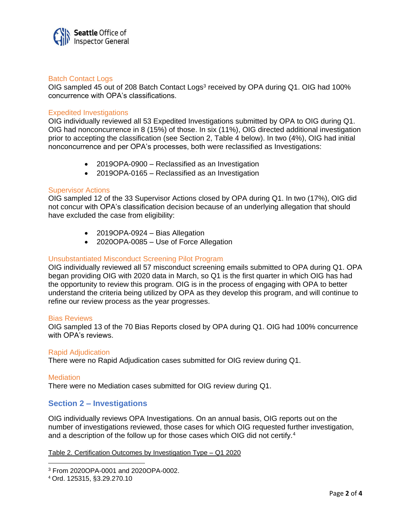

### Batch Contact Logs

OIG sampled 45 out of 208 Batch Contact Logs<sup>3</sup> received by OPA during Q1. OIG had 100% concurrence with OPA's classifications.

### Expedited Investigations

OIG individually reviewed all 53 Expedited Investigations submitted by OPA to OIG during Q1. OIG had nonconcurrence in 8 (15%) of those. In six (11%), OIG directed additional investigation prior to accepting the classification (see Section 2, Table 4 below). In two (4%), OIG had initial nonconcurrence and per OPA's processes, both were reclassified as Investigations:

- 2019OPA-0900 Reclassified as an Investigation
- 2019OPA-0165 Reclassified as an Investigation

# Supervisor Actions

OIG sampled 12 of the 33 Supervisor Actions closed by OPA during Q1. In two (17%), OIG did not concur with OPA's classification decision because of an underlying allegation that should have excluded the case from eligibility:

- 2019OPA-0924 Bias Allegation
- 2020OPA-0085 Use of Force Allegation

### Unsubstantiated Misconduct Screening Pilot Program

OIG individually reviewed all 57 misconduct screening emails submitted to OPA during Q1. OPA began providing OIG with 2020 data in March, so Q1 is the first quarter in which OIG has had the opportunity to review this program. OIG is in the process of engaging with OPA to better understand the criteria being utilized by OPA as they develop this program, and will continue to refine our review process as the year progresses.

#### Bias Reviews

OIG sampled 13 of the 70 Bias Reports closed by OPA during Q1. OIG had 100% concurrence with OPA's reviews.

#### Rapid Adjudication

There were no Rapid Adjudication cases submitted for OIG review during Q1.

#### **Mediation**

There were no Mediation cases submitted for OIG review during Q1.

# **Section 2 – Investigations**

OIG individually reviews OPA Investigations. On an annual basis, OIG reports out on the number of investigations reviewed, those cases for which OIG requested further investigation, and a description of the follow up for those cases which OIG did not certify.<sup>4</sup>

#### Table 2. Certification Outcomes by Investigation Type – Q1 2020

<sup>3</sup> From 2020OPA-0001 and 2020OPA-0002.

<sup>4</sup> Ord. 125315, §3.29.270.10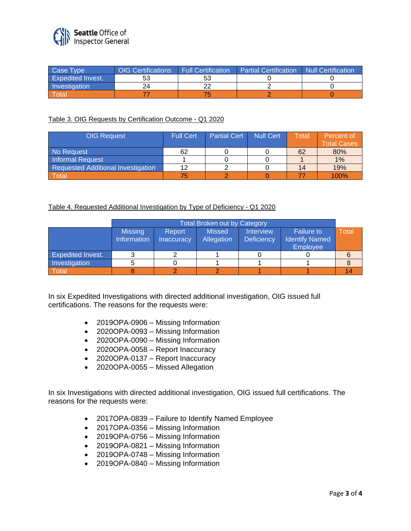

| Case Type                | <b>OIG Certifications</b> | <b>Full Certification</b> | <b>Partial Certification</b> | Null Certification |
|--------------------------|---------------------------|---------------------------|------------------------------|--------------------|
| <b>Expedited Invest.</b> | ວວ                        | 53                        |                              |                    |
| Investigation            | 2Δ                        | ົ                         |                              |                    |
| Total                    |                           |                           |                              |                    |

# Table 3. OIG Requests by Certification Outcome - Q1 2020

| <b>OIG Request</b>                 | <b>Full Cert</b> | <b>Partial Cert</b> | <b>Null Cert</b> | Total | Percent of<br><b>Total Cases</b> |
|------------------------------------|------------------|---------------------|------------------|-------|----------------------------------|
| No Request                         | 62               |                     |                  | 62    | 80%                              |
| <b>Informal Request</b>            |                  |                     |                  |       | 1%                               |
| Requested Additional Investigation | 12               |                     |                  | 14    | 19%                              |
| Total                              | 75               |                     |                  |       | 100%                             |

# Table 4. Requested Additional Investigation by Type of Deficiency - Q1 2020

|                          | Total Broken out by Category  |                             |                             |                                       |                                            |              |
|--------------------------|-------------------------------|-----------------------------|-----------------------------|---------------------------------------|--------------------------------------------|--------------|
|                          | <b>Missing</b><br>Information | Report<br><b>Inaccuracy</b> | <b>Missed</b><br>Allegation | <b>Interview</b><br><b>Deficiency</b> | <b>Failure to</b><br><b>Identify Named</b> | <b>Total</b> |
|                          |                               |                             |                             |                                       | Employee                                   |              |
| <b>Expedited Invest.</b> |                               |                             |                             |                                       |                                            |              |
| Investigation            |                               |                             |                             |                                       |                                            |              |
| Total                    |                               |                             |                             |                                       |                                            |              |

In six Expedited Investigations with directed additional investigation, OIG issued full certifications. The reasons for the requests were:

- 2019OPA-0906 Missing Information
- 2020OPA-0093 Missing Information
- 2020OPA-0090 Missing Information
- 2020OPA-0058 Report Inaccuracy
- 2020OPA-0137 Report Inaccuracy
- 2020OPA-0055 Missed Allegation

In six Investigations with directed additional investigation, OIG issued full certifications. The reasons for the requests were:

- 2017OPA-0839 Failure to Identify Named Employee
- 2017OPA-0356 Missing Information
- 2019OPA-0756 Missing Information
- 2019OPA-0821 Missing Information
- 2019OPA-0748 Missing Information
- 2019OPA-0840 Missing Information